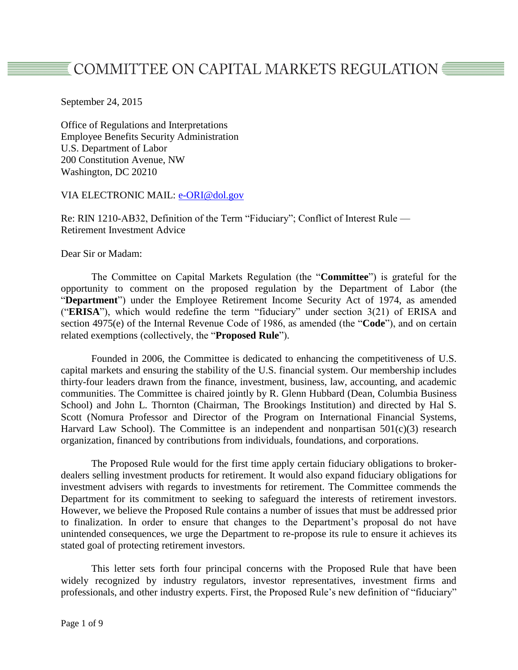# $\overline{\texttt{\texttt{\texttt{E}}}}$  COMMITTEE ON CAPITAL MARKETS REGULATION  $\overline{\texttt{\texttt{\texttt{E}}}}$

September 24, 2015

Office of Regulations and Interpretations Employee Benefits Security Administration U.S. Department of Labor 200 Constitution Avenue, NW Washington, DC 20210

#### VIA ELECTRONIC MAIL: [e-ORI@dol.gov](mailto:e-ORI@dol.gov)

Re: RIN 1210-AB32, Definition of the Term "Fiduciary"; Conflict of Interest Rule — Retirement Investment Advice

Dear Sir or Madam:

The Committee on Capital Markets Regulation (the "**Committee**") is grateful for the opportunity to comment on the proposed regulation by the Department of Labor (the "**Department**") under the Employee Retirement Income Security Act of 1974, as amended ("**ERISA**"), which would redefine the term "fiduciary" under section 3(21) of ERISA and section 4975(e) of the Internal Revenue Code of 1986, as amended (the "**Code**"), and on certain related exemptions (collectively, the "**Proposed Rule**").

Founded in 2006, the Committee is dedicated to enhancing the competitiveness of U.S. capital markets and ensuring the stability of the U.S. financial system. Our membership includes thirty-four leaders drawn from the finance, investment, business, law, accounting, and academic communities. The Committee is chaired jointly by R. Glenn Hubbard (Dean, Columbia Business School) and John L. Thornton (Chairman, The Brookings Institution) and directed by Hal S. Scott (Nomura Professor and Director of the Program on International Financial Systems, Harvard Law School). The Committee is an independent and nonpartisan  $501(c)(3)$  research organization, financed by contributions from individuals, foundations, and corporations.

The Proposed Rule would for the first time apply certain fiduciary obligations to brokerdealers selling investment products for retirement. It would also expand fiduciary obligations for investment advisers with regards to investments for retirement. The Committee commends the Department for its commitment to seeking to safeguard the interests of retirement investors. However, we believe the Proposed Rule contains a number of issues that must be addressed prior to finalization. In order to ensure that changes to the Department's proposal do not have unintended consequences, we urge the Department to re-propose its rule to ensure it achieves its stated goal of protecting retirement investors.

This letter sets forth four principal concerns with the Proposed Rule that have been widely recognized by industry regulators, investor representatives, investment firms and professionals, and other industry experts. First, the Proposed Rule's new definition of "fiduciary"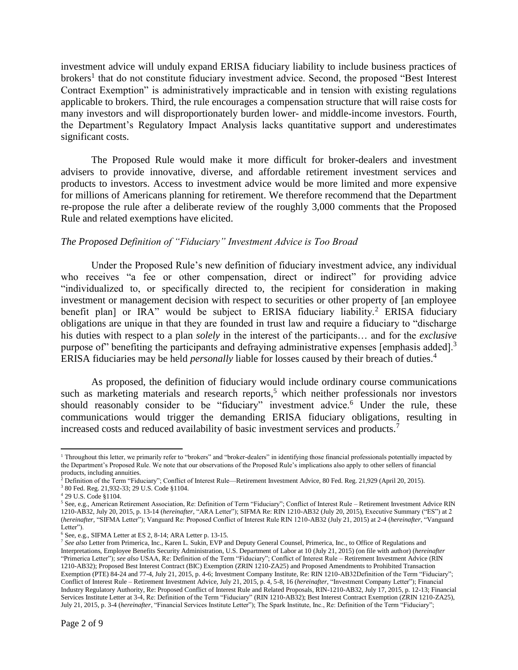investment advice will unduly expand ERISA fiduciary liability to include business practices of brokers<sup>1</sup> that do not constitute fiduciary investment advice. Second, the proposed "Best Interest" Contract Exemption" is administratively impracticable and in tension with existing regulations applicable to brokers. Third, the rule encourages a compensation structure that will raise costs for many investors and will disproportionately burden lower- and middle-income investors. Fourth, the Department's Regulatory Impact Analysis lacks quantitative support and underestimates significant costs.

The Proposed Rule would make it more difficult for broker-dealers and investment advisers to provide innovative, diverse, and affordable retirement investment services and products to investors. Access to investment advice would be more limited and more expensive for millions of Americans planning for retirement. We therefore recommend that the Department re-propose the rule after a deliberate review of the roughly 3,000 comments that the Proposed Rule and related exemptions have elicited.

### *The Proposed Definition of "Fiduciary" Investment Advice is Too Broad*

Under the Proposed Rule's new definition of fiduciary investment advice, any individual who receives "a fee or other compensation, direct or indirect" for providing advice "individualized to, or specifically directed to, the recipient for consideration in making investment or management decision with respect to securities or other property of [an employee benefit plan] or IRA" would be subject to ERISA fiduciary liability.<sup>2</sup> ERISA fiduciary obligations are unique in that they are founded in trust law and require a fiduciary to "discharge his duties with respect to a plan *solely* in the interest of the participants… and for the *exclusive* purpose of" benefiting the participants and defraying administrative expenses [emphasis added].<sup>3</sup> ERISA fiduciaries may be held *personally* liable for losses caused by their breach of duties.<sup>4</sup>

As proposed, the definition of fiduciary would include ordinary course communications such as marketing materials and research reports,<sup>5</sup> which neither professionals nor investors should reasonably consider to be "fiduciary" investment advice.<sup>6</sup> Under the rule, these communications would trigger the demanding ERISA fiduciary obligations, resulting in increased costs and reduced availability of basic investment services and products.<sup>7</sup>

 $\overline{\phantom{a}}$ <sup>1</sup> Throughout this letter, we primarily refer to "brokers" and "broker-dealers" in identifying those financial professionals potentially impacted by the Department's Proposed Rule. We note that our observations of the Proposed Rule's implications also apply to other sellers of financial products, including annuities.

<sup>2</sup> Definition of the Term "Fiduciary"; Conflict of Interest Rule—Retirement Investment Advice, 80 Fed. Reg. 21,929 (April 20, 2015).

<sup>3</sup> 80 Fed. Reg. 21,932-33; 29 U.S. Code §1104.

<sup>4</sup> 29 U.S. Code §1104.

<sup>5</sup> See, e.g., American Retirement Association, Re: Definition of Term "Fiduciary"; Conflict of Interest Rule – Retirement Investment Advice RIN 1210-AB32, July 20, 2015, p. 13-14 (*hereinafter,* "ARA Letter"); SIFMA Re: RIN 1210-AB32 (July 20, 2015), Executive Summary ("ES") at 2 (*hereinafter,* "SIFMA Letter"); Vanguard Re: Proposed Conflict of Interest Rule RIN 1210-AB32 (July 21, 2015) at 2-4 (*hereinafter*, "Vanguard Letter").

<sup>6</sup> See, e.g., SIFMA Letter at ES 2, 8-14; ARA Letter p. 13-15.

<sup>7</sup> *See also* Letter from Primerica, Inc., Karen L. Sukin, EVP and Deputy General Counsel, Primerica, Inc., to Office of Regulations and Interpretations, Employee Benefits Security Administration, U.S. Department of Labor at 10 (July 21, 2015) (on file with author) (*hereinafter* "Primerica Letter"); *see also* USAA, Re: Definition of the Term "Fiduciary"; Conflict of Interest Rule – Retirement Investment Advice (RIN 1210-AB32); Proposed Best Interest Contract (BIC) Exemption (ZRIN 1210-ZA25) and Proposed Amendments to Prohibited Transaction Exemption (PTE) 84-24 and 77-4, July 21, 2015, p. 4-6; Investment Company Institute, Re: RIN 1210-AB32Definition of the Term "Fiduciary"; Conflict of Interest Rule – Retirement Investment Advice, July 21, 2015, p. 4, 5-8, 16 (*hereinafter,* "Investment Company Letter"); Financial Industry Regulatory Authority, Re: Proposed Conflict of Interest Rule and Related Proposals, RIN-1210-AB32, July 17, 2015, p. 12-13; Financial Services Institute Letter at 3-4, Re: Definition of the Term "Fiduciary" (RIN 1210-AB32); Best Interest Contract Exemption (ZRIN 1210-ZA25), July 21, 2015, p. 3-4 (*hereinafter*, "Financial Services Institute Letter"); The Spark Institute, Inc., Re: Definition of the Term "Fiduciary";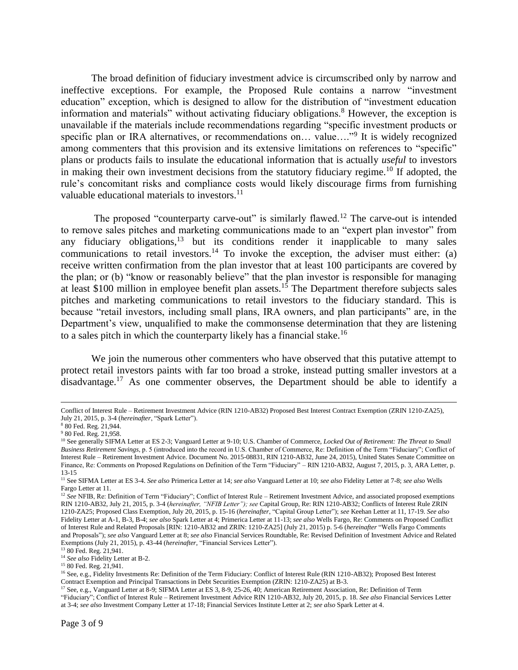The broad definition of fiduciary investment advice is circumscribed only by narrow and ineffective exceptions. For example, the Proposed Rule contains a narrow "investment education" exception, which is designed to allow for the distribution of "investment education information and materials" without activating fiduciary obligations.<sup>8</sup> However, the exception is unavailable if the materials include recommendations regarding "specific investment products or specific plan or IRA alternatives, or recommendations on... value...."<sup>9</sup> It is widely recognized among commenters that this provision and its extensive limitations on references to "specific" plans or products fails to insulate the educational information that is actually *useful* to investors in making their own investment decisions from the statutory fiduciary regime.<sup>10</sup> If adopted, the rule's concomitant risks and compliance costs would likely discourage firms from furnishing valuable educational materials to investors. $^{11}$ 

The proposed "counterparty carve-out" is similarly flawed.<sup>12</sup> The carve-out is intended to remove sales pitches and marketing communications made to an "expert plan investor" from any fiduciary obligations, $13$  but its conditions render it inapplicable to many sales communications to retail investors.<sup>14</sup> To invoke the exception, the adviser must either: (a) receive written confirmation from the plan investor that at least 100 participants are covered by the plan; or (b) "know or reasonably believe" that the plan investor is responsible for managing at least \$100 million in employee benefit plan assets.<sup>15</sup> The Department therefore subjects sales pitches and marketing communications to retail investors to the fiduciary standard. This is because "retail investors, including small plans, IRA owners, and plan participants" are, in the Department's view, unqualified to make the commonsense determination that they are listening to a sales pitch in which the counterparty likely has a financial stake.<sup>16</sup>

We join the numerous other commenters who have observed that this putative attempt to protect retail investors paints with far too broad a stroke, instead putting smaller investors at a disadvantage.<sup>17</sup> As one commenter observes, the Department should be able to identify a

 $\overline{\phantom{a}}$ 

Conflict of Interest Rule – Retirement Investment Advice (RIN 1210-AB32) Proposed Best Interest Contract Exemption (ZRIN 1210-ZA25), July 21, 2015, p. 3-4 (*hereinafter*, "Spark Letter").

<sup>8</sup> 80 Fed. Reg. 21,944.

<sup>&</sup>lt;sup>9</sup> 80 Fed. Reg. 21,958.

<sup>&</sup>lt;sup>10</sup> See generally SIFMA Letter at ES 2-3; Vanguard Letter at 9-10; U.S. Chamber of Commerce, *Locked Out of Retirement: The Threat to Small Business Retirement Savings*, p. 5 (introduced into the record in U.S. Chamber of Commerce, Re: Definition of the Term "Fiduciary"; Conflict of Interest Rule – Retirement Investment Advice. Document No. 2015-08831, RIN 1210-AB32, June 24, 2015), United States Senate Committee on Finance, Re: Comments on Proposed Regulations on Definition of the Term "Fiduciary" – RIN 1210-AB32, August 7, 2015, p. 3, ARA Letter, p. 13-15

<sup>11</sup> See SIFMA Letter at ES 3-4. *See also* Primerica Letter at 14; *see also* Vanguard Letter at 10; *see also* Fidelity Letter at 7-8; *see also* Wells Fargo Letter at 11.

<sup>&</sup>lt;sup>12</sup> See NFIB, Re: Definition of Term "Fiduciary"; Conflict of Interest Rule – Retirement Investment Advice, and associated proposed exemptions RIN 1210-AB32, July 21, 2015, p. 3-4 (*hereinafter, "NFIB Letter"); see* Capital Group, Re: RIN 1210-AB32; Conflicts of Interest Rule ZRIN 1210-ZA25; Proposed Class Exemption, July 20, 2015, p. 15-16 (*hereinafter*, "Capital Group Letter"); *see* Keehan Letter at 11, 17-19. *See also* Fidelity Letter at A-1, B-3, B-4; *see also* Spark Letter at 4; Primerica Letter at 11-13; *see also* Wells Fargo, Re: Comments on Proposed Conflict of Interest Rule and Related Proposals [RIN: 1210-AB32 and ZRIN: 1210-ZA25] (July 21, 2015) p. 5-6 (*hereinafter* "Wells Fargo Comments and Proposals"); *see also* Vanguard Letter at 8; *see also* Financial Services Roundtable, Re: Revised Definition of Investment Advice and Related Exemptions (July 21, 2015), p. 43-44 (*hereinafter,* "Financial Services Letter").

<sup>13</sup> 80 Fed. Reg. 21,941.

<sup>&</sup>lt;sup>14</sup> See also Fidelity Letter at B-2.

<sup>&</sup>lt;sup>15</sup> 80 Fed. Reg. 21,941.

<sup>&</sup>lt;sup>16</sup> See, e.g., Fidelity Investments Re: Definition of the Term Fiduciary: Conflict of Interest Rule (RIN 1210-AB32); Proposed Best Interest Contract Exemption and Principal Transactions in Debt Securities Exemption (ZRIN: 1210-ZA25) at B-3.

<sup>&</sup>lt;sup>17</sup> See, e.g., Vanguard Letter at 8-9; SIFMA Letter at ES 3, 8-9, 25-26, 40; American Retirement Association, Re: Definition of Term "Fiduciary"; Conflict of Interest Rule – Retirement Investment Advice RIN 1210-AB32, July 20, 2015, p. 18. *See also* Financial Services Letter at 3-4; *see also* Investment Company Letter at 17-18; Financial Services Institute Letter at 2; *see also* Spark Letter at 4.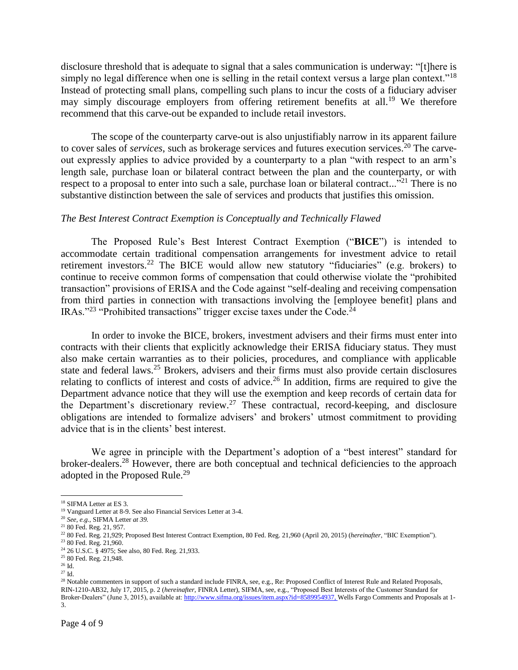disclosure threshold that is adequate to signal that a sales communication is underway: "[t]here is simply no legal difference when one is selling in the retail context versus a large plan context."<sup>18</sup> Instead of protecting small plans, compelling such plans to incur the costs of a fiduciary adviser may simply discourage employers from offering retirement benefits at all.<sup>19</sup> We therefore recommend that this carve-out be expanded to include retail investors.

The scope of the counterparty carve-out is also unjustifiably narrow in its apparent failure to cover sales of *services*, such as brokerage services and futures execution services. <sup>20</sup> The carveout expressly applies to advice provided by a counterparty to a plan "with respect to an arm's length sale, purchase loan or bilateral contract between the plan and the counterparty, or with respect to a proposal to enter into such a sale, purchase loan or bilateral contract..."<sup>21</sup> There is no substantive distinction between the sale of services and products that justifies this omission.

### *The Best Interest Contract Exemption is Conceptually and Technically Flawed*

The Proposed Rule's Best Interest Contract Exemption ("**BICE**") is intended to accommodate certain traditional compensation arrangements for investment advice to retail retirement investors.<sup>22</sup> The BICE would allow new statutory "fiduciaries" (e.g. brokers) to continue to receive common forms of compensation that could otherwise violate the "prohibited transaction" provisions of ERISA and the Code against "self-dealing and receiving compensation from third parties in connection with transactions involving the [employee benefit] plans and IRAs."<sup>23</sup> "Prohibited transactions" trigger excise taxes under the Code.<sup>24</sup>

In order to invoke the BICE, brokers, investment advisers and their firms must enter into contracts with their clients that explicitly acknowledge their ERISA fiduciary status. They must also make certain warranties as to their policies, procedures, and compliance with applicable state and federal laws.<sup>25</sup> Brokers, advisers and their firms must also provide certain disclosures relating to conflicts of interest and costs of advice.<sup>26</sup> In addition, firms are required to give the Department advance notice that they will use the exemption and keep records of certain data for the Department's discretionary review.<sup>27</sup> These contractual, record-keeping, and disclosure obligations are intended to formalize advisers' and brokers' utmost commitment to providing advice that is in the clients' best interest.

We agree in principle with the Department's adoption of a "best interest" standard for broker-dealers.<sup>28</sup> However, there are both conceptual and technical deficiencies to the approach adopted in the Proposed Rule.<sup>29</sup>

 $\overline{\phantom{a}}$ <sup>18</sup> SIFMA Letter at ES 3.

<sup>19</sup> Vanguard Letter at 8-9. See also Financial Services Letter at 3-4.

<sup>20</sup> *See, e.g.,* SIFMA Letter *at 39.* 

<sup>21</sup> 80 Fed. Reg. 21, 957.

<sup>22</sup> 80 Fed. Reg. 21,929; Proposed Best Interest Contract Exemption, 80 Fed. Reg. 21,960 (April 20, 2015) (*hereinafter*, "BIC Exemption"). <sup>23</sup> 80 Fed. Reg. 21,960.

<sup>24</sup> 26 U.S.C. § 4975; See also, 80 Fed. Reg. 21,933.

<sup>&</sup>lt;sup>25</sup> 80 Fed. Reg. 21,948.

 $26$  Id.

 $^{27}$  Id.

<sup>&</sup>lt;sup>28</sup> Notable commenters in support of such a standard include FINRA, see, e.g., Re: Proposed Conflict of Interest Rule and Related Proposals, RIN-1210-AB32, July 17, 2015, p. 2 (*hereinafter,* FINRA Letter), SIFMA, see, e.g., "Proposed Best Interests of the Customer Standard for Broker-Dealers" (June 3, 2015), available at[: http://www.sifma.org/issues/item.aspx?id=8589954937,](http://www.sifma.org/issues/item.aspx?id=8589954937) Wells Fargo Comments and Proposals at 1- 3.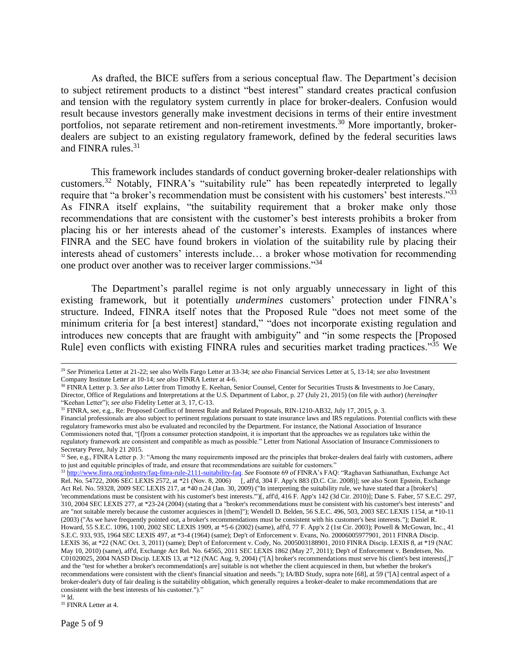As drafted, the BICE suffers from a serious conceptual flaw. The Department's decision to subject retirement products to a distinct "best interest" standard creates practical confusion and tension with the regulatory system currently in place for broker-dealers. Confusion would result because investors generally make investment decisions in terms of their entire investment portfolios, not separate retirement and non-retirement investments.<sup>30</sup> More importantly, brokerdealers are subject to an existing regulatory framework, defined by the federal securities laws and FINRA rules.<sup>31</sup>

This framework includes standards of conduct governing broker-dealer relationships with customers.<sup>32</sup> Notably, FINRA's "suitability rule" has been repeatedly interpreted to legally require that "a broker's recommendation must be consistent with his customers' best interests."<sup>33</sup> As FINRA itself explains, "the suitability requirement that a broker make only those recommendations that are consistent with the customer's best interests prohibits a broker from placing his or her interests ahead of the customer's interests. Examples of instances where FINRA and the SEC have found brokers in violation of the suitability rule by placing their interests ahead of customers' interests include… a broker whose motivation for recommending one product over another was to receiver larger commissions."<sup>34</sup>

The Department's parallel regime is not only arguably unnecessary in light of this existing framework, but it potentially *undermines* customers' protection under FINRA's structure. Indeed, FINRA itself notes that the Proposed Rule "does not meet some of the minimum criteria for [a best interest] standard," "does not incorporate existing regulation and introduces new concepts that are fraught with ambiguity" and "in some respects the [Proposed Rule] even conflicts with existing FINRA rules and securities market trading practices."<sup>35</sup> We

 $\overline{\phantom{a}}$ 

<sup>29</sup> *See* Primerica Letter at 21-22; see also Wells Fargo Letter at 33-34; *see also* Financial Services Letter at 5, 13-14; *see also* Investment Company Institute Letter at 10-14; *see also* FINRA Letter at 4-6.

<sup>30</sup> FINRA Letter p. 3. *See also* Letter from Timothy E. Keehan, Senior Counsel, Center for Securities Trusts & Investments to Joe Canary, Director, Office of Regulations and Interpretations at the U.S. Department of Labor, p. 27 (July 21, 2015) (on file with author) (*hereinafter* "Keehan Letter"); *see also* Fidelity Letter at 3, 17, C-13.

<sup>&</sup>lt;sup>31</sup> FINRA, see, e.g., Re: Proposed Conflict of Interest Rule and Related Proposals, RIN-1210-AB32, July 17, 2015, p. 3.

Financial professionals are also subject to pertinent regulations pursuant to state insurance laws and IRS regulations. Potential conflicts with these regulatory frameworks must also be evaluated and reconciled by the Department. For instance, the National Association of Insurance Commissioners noted that, "[f]rom a consumer protection standpoint, it is important that the approaches we as regulators take within the regulatory framework are consistent and compatible as much as possible." Letter from National Association of Insurance Commissioners to Secretary Perez, July 21 2015.

<sup>&</sup>lt;sup>32</sup> See, e.g., FINRA Letter p. 3: "Among the many requirements imposed are the principles that broker-dealers deal fairly with customers, adhere to just and equitable principles of trade, and ensure that recommendations are suitable for customers."

<sup>33</sup> [http://www.finra.org/industry/faq-finra-rule-2111-suitability-faq.](http://www.finra.org/industry/faq-finra-rule-2111-suitability-faq) *See* Footnote 69 of FINRA's FAQ: "Raghavan Sathianathan, Exchange Act Rel. No. 54722, 2006 SEC LEXIS 2572, at \*21 (Nov. 8, 2006) [, aff'd, 304 F. App'x 883 (D.C. Cir. 2008)]; see also Scott Epstein, Exchange Act Rel. No. 59328, 2009 SEC LEXIS 217, at \*40 n.24 (Jan. 30, 2009) ("In interpreting the suitability rule, we have stated that a [broker's] 'recommendations must be consistent with his customer's best interests.'")[, aff'd, 416 F. App'x 142 (3d Cir. 2010)]; Dane S. Faber, 57 S.E.C. 297, 310, 2004 SEC LEXIS 277, at \*23-24 (2004) (stating that a "broker's recommendations must be consistent with his customer's best interests" and are "not suitable merely because the customer acquiesces in [them]"); Wendell D. Belden, 56 S.E.C. 496, 503, 2003 SEC LEXIS 1154, at \*10-11 (2003) ("As we have frequently pointed out, a broker's recommendations must be consistent with his customer's best interests."); Daniel R. Howard, 55 S.E.C. 1096, 1100, 2002 SEC LEXIS 1909, at \*5-6 (2002) (same), aff'd, 77 F. App'x 2 (1st Cir. 2003); Powell & McGowan, Inc., 41 S.E.C. 933, 935, 1964 SEC LEXIS 497, at \*3-4 (1964) (same); Dep't of Enforcement v. Evans, No. 20006005977901, 2011 FINRA Discip. LEXIS 36, at \*22 (NAC Oct. 3, 2011) (same); Dep't of Enforcement v. Cody, No. 2005003188901, 2010 FINRA Discip. LEXIS 8, at \*19 (NAC May 10, 2010) (same), aff'd, Exchange Act Rel. No. 64565, 2011 SEC LEXIS 1862 (May 27, 2011); Dep't of Enforcement v. Bendetsen, No. C01020025, 2004 NASD Discip. LEXIS 13, at \*12 (NAC Aug. 9, 2004) ("[A] broker's recommendations must serve his client's best interests[,]" and the "test for whether a broker's recommendation[s are] suitable is not whether the client acquiesced in them, but whether the broker's recommendations were consistent with the client's financial situation and needs."); IA/BD Study, supra note [68], at 59 ("[A] central aspect of a broker-dealer's duty of fair dealing is the suitability obligation, which generally requires a broker-dealer to make recommendations that are consistent with the best interests of his customer.").'

 $^{34}$  Id.

<sup>&</sup>lt;sup>35</sup> FINRA Letter at 4.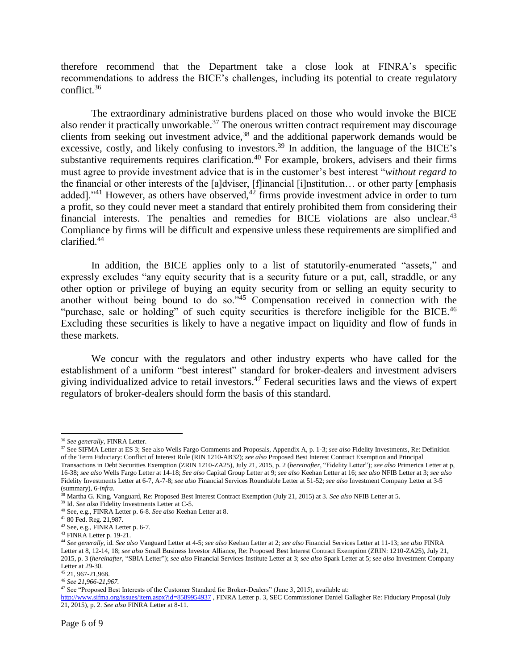therefore recommend that the Department take a close look at FINRA's specific recommendations to address the BICE's challenges, including its potential to create regulatory conflict.<sup>36</sup>

The extraordinary administrative burdens placed on those who would invoke the BICE also render it practically unworkable.<sup>37</sup> The onerous written contract requirement may discourage clients from seeking out investment advice,<sup>38</sup> and the additional paperwork demands would be excessive, costly, and likely confusing to investors.<sup>39</sup> In addition, the language of the BICE's substantive requirements requires clarification.<sup>40</sup> For example, brokers, advisers and their firms must agree to provide investment advice that is in the customer's best interest "*without regard to* the financial or other interests of the [a]dviser, [f]inancial [i]nstitution… or other party [emphasis added]."<sup>41</sup> However, as others have observed, $42$  firms provide investment advice in order to turn a profit, so they could never meet a standard that entirely prohibited them from considering their financial interests. The penalties and remedies for BICE violations are also unclear. $43$ Compliance by firms will be difficult and expensive unless these requirements are simplified and clarified.<sup>44</sup>

In addition, the BICE applies only to a list of statutorily-enumerated "assets," and expressly excludes "any equity security that is a security future or a put, call, straddle, or any other option or privilege of buying an equity security from or selling an equity security to another without being bound to do so."<sup>45</sup> Compensation received in connection with the "purchase, sale or holding" of such equity securities is therefore ineligible for the BICE.<sup>46</sup> Excluding these securities is likely to have a negative impact on liquidity and flow of funds in these markets.

We concur with the regulators and other industry experts who have called for the establishment of a uniform "best interest" standard for broker-dealers and investment advisers giving individualized advice to retail investors.<sup>47</sup> Federal securities laws and the views of expert regulators of broker-dealers should form the basis of this standard.

 $\overline{\phantom{a}}$ 

<sup>45</sup> 21, 967-21,968.

<sup>36</sup> *See generally,* FINRA Letter.

<sup>37</sup> See SIFMA Letter at ES 3; See also Wells Fargo Comments and Proposals, Appendix A, p. 1-3; *see also* Fidelity Investments, Re: Definition of the Term Fiduciary: Conflict of Interest Rule (RIN 1210-AB32); *see also* Proposed Best Interest Contract Exemption and Principal Transactions in Debt Securities Exemption (ZRIN 1210-ZA25), July 21, 2015, p. 2 (*hereinafter*, "Fidelity Letter"); *see also* Primerica Letter at p, 16-38; *see also* Wells Fargo Letter at 14-18; *See also* Capital Group Letter at 9; *see also* Keehan Letter at 16; *see also* NFIB Letter at 3; *see also* Fidelity Investments Letter at 6-7, A-7-8; *see also* Financial Services Roundtable Letter at 51-52; *see also* Investment Company Letter at 3-5 (summary), 6-*infra*.

<sup>38</sup> Martha G. King, Vanguard, Re: Proposed Best Interest Contract Exemption (July 21, 2015) at 3. *See also* NFIB Letter at 5.

<sup>39</sup> Id. *See also* Fidelity Investments Letter at C-5.

<sup>40</sup> See, e.g., FINRA Letter p. 6-8. *See also* Keehan Letter at 8.

<sup>41</sup> 80 Fed. Reg. 21,987.

<sup>42</sup> See, e.g., FINRA Letter p. 6-7.

<sup>43</sup> FINRA Letter p. 19-21.

<sup>44</sup> *See generally*, id. *See also* Vanguard Letter at 4-5; *see also* Keehan Letter at 2; *see also* Financial Services Letter at 11-13; *see also* FINRA Letter at 8, 12-14, 18; *see also* Small Business Investor Alliance, Re: Proposed Best Interest Contract Exemption (ZRIN: 1210-ZA25), July 21, 2015, p. 3 (*hereinafter,* "SBIA Letter"); *see also* Financial Services Institute Letter at 3; *see also* Spark Letter at 5; *see also* Investment Company Letter at 29-30.

<sup>46</sup> *See 21,966-21,967.*

<sup>&</sup>lt;sup>47</sup> See "Proposed Best Interests of the Customer Standard for Broker-Dealers" (June 3, 2015), available at:

<http://www.sifma.org/issues/item.aspx?id=8589954937> , FINRA Letter p. 3, SEC Commissioner Daniel Gallagher Re: Fiduciary Proposal (July 21, 2015), p. 2. *See also* FINRA Letter at 8-11.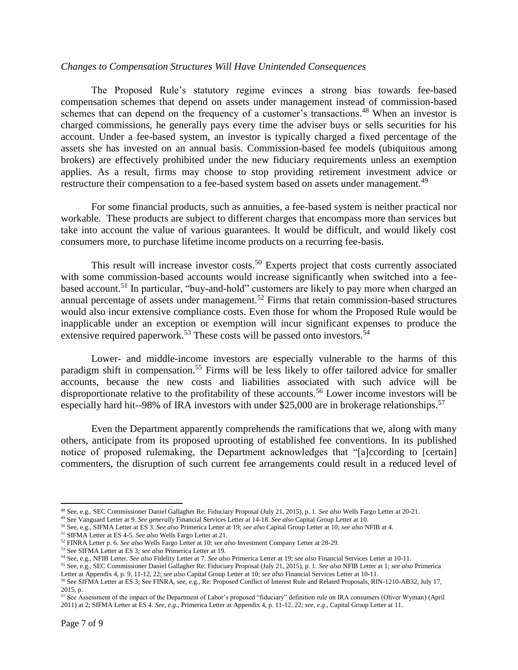#### *Changes to Compensation Structures Will Have Unintended Consequences*

The Proposed Rule's statutory regime evinces a strong bias towards fee-based compensation schemes that depend on assets under management instead of commission-based schemes that can depend on the frequency of a customer's transactions.<sup>48</sup> When an investor is charged commissions, he generally pays every time the adviser buys or sells securities for his account. Under a fee-based system, an investor is typically charged a fixed percentage of the assets she has invested on an annual basis. Commission-based fee models (ubiquitous among brokers) are effectively prohibited under the new fiduciary requirements unless an exemption applies. As a result, firms may choose to stop providing retirement investment advice or restructure their compensation to a fee-based system based on assets under management.<sup>49</sup>

For some financial products, such as annuities, a fee-based system is neither practical nor workable. These products are subject to different charges that encompass more than services but take into account the value of various guarantees. It would be difficult, and would likely cost consumers more, to purchase lifetime income products on a recurring fee-basis.

This result will increase investor costs.<sup>50</sup> Experts project that costs currently associated with some commission-based accounts would increase significantly when switched into a feebased account.<sup>51</sup> In particular, "buy-and-hold" customers are likely to pay more when charged an annual percentage of assets under management.<sup>52</sup> Firms that retain commission-based structures would also incur extensive compliance costs. Even those for whom the Proposed Rule would be inapplicable under an exception or exemption will incur significant expenses to produce the extensive required paperwork.<sup>53</sup> These costs will be passed onto investors.<sup>54</sup>

Lower- and middle-income investors are especially vulnerable to the harms of this paradigm shift in compensation.<sup>55</sup> Firms will be less likely to offer tailored advice for smaller accounts, because the new costs and liabilities associated with such advice will be disproportionate relative to the profitability of these accounts.<sup>56</sup> Lower income investors will be especially hard hit--98% of IRA investors with under \$25,000 are in brokerage relationships.<sup>57</sup>

Even the Department apparently comprehends the ramifications that we, along with many others, anticipate from its proposed uprooting of established fee conventions. In its published notice of proposed rulemaking, the Department acknowledges that "[a]ccording to [certain] commenters, the disruption of such current fee arrangements could result in a reduced level of

 $\overline{\phantom{a}}$ <sup>48</sup> See, e.g., SEC Commissioner Daniel Gallagher Re: Fiduciary Proposal (July 21, 2015), p. 1. *See also* Wells Fargo Letter at 20-21.

<sup>49</sup> See Vanguard Letter at 9. *See generally* Financial Services Letter at 14-18. *See also* Capital Group Letter at 10.

<sup>50</sup> See, e.g., SIFMA Letter at ES 3. *See also* Primerica Letter at 19; *see also* Capital Group Letter at 10; *see also* NFIB at 4.

<sup>51</sup> SIFMA Letter at ES 4-5. *See also* Wells Fargo Letter at 21.

<sup>52</sup> FINRA Letter p. 6. *See also* Wells Fargo Letter at 10; *see also* Investment Company Letter at 28-29.

<sup>53</sup> See SIFMA Letter at ES 3; *see also* Primerica Letter at 19.

<sup>54</sup> See, e.g., NFIB Letter. *See also* Fidelity Letter at 7. *See also* Primerica Letter at 19; *see also* Financial Services Letter at 10-11.

<sup>55</sup> See, e.g., SEC Commissioner Daniel Gallagher Re: Fiduciary Proposal (July 21, 2015), p. 1. *See also* NFIB Letter at 1; *see also* Primerica Letter at Appendix 4, p. 9, 11-12, 22; *see also* Capital Group Letter at 10; *see also* Financial Services Letter at 10-11.

<sup>56</sup> See SIFMA Letter at ES 3; See FINRA, see, e.g., Re: Proposed Conflict of Interest Rule and Related Proposals, RIN-1210-AB32, July 17, 2015, p.

<sup>&</sup>lt;sup>57</sup> See Assessment of the impact of the Department of Labor's proposed "fiduciary" definition rule on IRA consumers (Oliver Wyman) (April 2011) at 2; SIFMA Letter at ES 4. *See, e.g.,* Primerica Letter at Appendix 4, p. 11-12, 22; *see, e.g.*, Capital Group Letter at 11.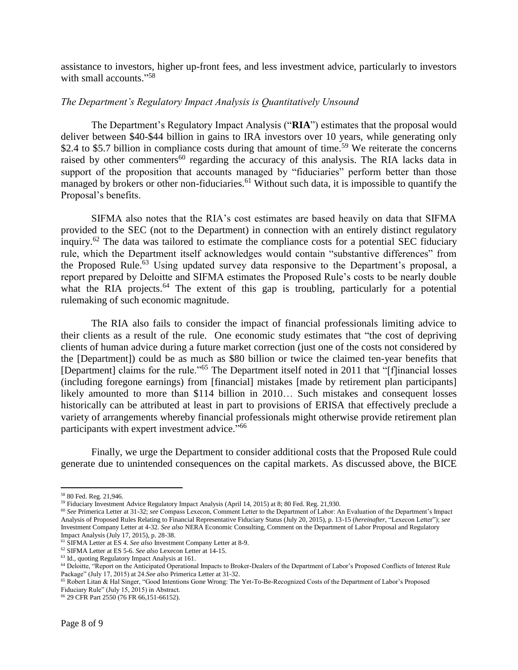assistance to investors, higher up-front fees, and less investment advice, particularly to investors with small accounts."<sup>58</sup>

## *The Department's Regulatory Impact Analysis is Quantitatively Unsound*

The Department's Regulatory Impact Analysis ("**RIA**") estimates that the proposal would deliver between \$40-\$44 billion in gains to IRA investors over 10 years, while generating only \$2.4 to \$5.7 billion in compliance costs during that amount of time.<sup>59</sup> We reiterate the concerns raised by other commenters<sup>60</sup> regarding the accuracy of this analysis. The RIA lacks data in support of the proposition that accounts managed by "fiduciaries" perform better than those managed by brokers or other non-fiduciaries.<sup>61</sup> Without such data, it is impossible to quantify the Proposal's benefits.

SIFMA also notes that the RIA's cost estimates are based heavily on data that SIFMA provided to the SEC (not to the Department) in connection with an entirely distinct regulatory inquiry.<sup>62</sup> The data was tailored to estimate the compliance costs for a potential SEC fiduciary rule, which the Department itself acknowledges would contain "substantive differences" from the Proposed Rule.<sup>63</sup> Using updated survey data responsive to the Department's proposal, a report prepared by Deloitte and SIFMA estimates the Proposed Rule's costs to be nearly double what the RIA projects.<sup>64</sup> The extent of this gap is troubling, particularly for a potential rulemaking of such economic magnitude.

The RIA also fails to consider the impact of financial professionals limiting advice to their clients as a result of the rule. One economic study estimates that "the cost of depriving clients of human advice during a future market correction (just one of the costs not considered by the [Department]) could be as much as \$80 billion or twice the claimed ten-year benefits that [Department] claims for the rule."<sup>65</sup> The Department itself noted in 2011 that "[f]inancial losses (including foregone earnings) from [financial] mistakes [made by retirement plan participants] likely amounted to more than \$114 billion in 2010… Such mistakes and consequent losses historically can be attributed at least in part to provisions of ERISA that effectively preclude a variety of arrangements whereby financial professionals might otherwise provide retirement plan participants with expert investment advice."<sup>66</sup>

Finally, we urge the Department to consider additional costs that the Proposed Rule could generate due to unintended consequences on the capital markets. As discussed above, the BICE

 $\overline{a}$ 

<sup>58</sup> 80 Fed. Reg. 21,946.

<sup>59</sup> Fiduciary Investment Advice Regulatory Impact Analysis (April 14, 2015) at 8; 80 Fed. Reg. 21,930.

<sup>60</sup> *See* Primerica Letter at 31-32; *see* Compass Lexecon, Comment Letter to the Department of Labor: An Evaluation of the Department's Impact Analysis of Proposed Rules Relating to Financial Representative Fiduciary Status (July 20, 2015), p. 13-15 (*hereinafter,* "Lexecon Letter"); *see*  Investment Company Letter at 4-32. *See also* NERA Economic Consulting, Comment on the Department of Labor Proposal and Regulatory Impact Analysis (July 17, 2015), p. 28-38.

<sup>61</sup> SIFMA Letter at ES 4. *See also* Investment Company Letter at 8-9.

<sup>62</sup> SIFMA Letter at ES 5-6. *See also* Lexecon Letter at 14-15.

<sup>63</sup> Id., quoting Regulatory Impact Analysis at 161.

<sup>&</sup>lt;sup>64</sup> Deloitte, "Report on the Anticipated Operational Impacts to Broker-Dealers of the Department of Labor's Proposed Conflicts of Interest Rule Package" (July 17, 2015) at 24.*See also* Primerica Letter at 31-32.

<sup>65</sup> Robert Litan & Hal Singer, "Good Intentions Gone Wrong: The Yet-To-Be-Recognized Costs of the Department of Labor's Proposed Fiduciary Rule" (July 15, 2015) in Abstract.

<sup>66</sup> 29 CFR Part 2550 (76 FR 66,151-66152).